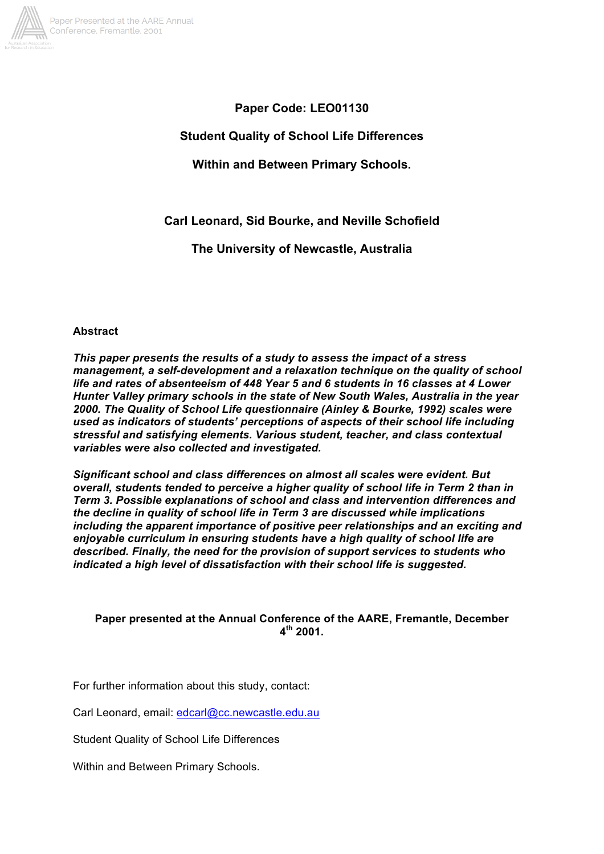

**Paper Code: LEO01130**

**Student Quality of School Life Differences**

**Within and Between Primary Schools.**

**Carl Leonard, Sid Bourke, and Neville Schofield**

**The University of Newcastle, Australia**

# **Abstract**

*This paper presents the results of a study to assess the impact of a stress management, a self-development and a relaxation technique on the quality of school life and rates of absenteeism of 448 Year 5 and 6 students in 16 classes at 4 Lower Hunter Valley primary schools in the state of New South Wales, Australia in the year 2000. The Quality of School Life questionnaire (Ainley & Bourke, 1992) scales were used as indicators of students' perceptions of aspects of their school life including stressful and satisfying elements. Various student, teacher, and class contextual variables were also collected and investigated.*

*Significant school and class differences on almost all scales were evident. But overall, students tended to perceive a higher quality of school life in Term 2 than in Term 3. Possible explanations of school and class and intervention differences and the decline in quality of school life in Term 3 are discussed while implications including the apparent importance of positive peer relationships and an exciting and enjoyable curriculum in ensuring students have a high quality of school life are described. Finally, the need for the provision of support services to students who indicated a high level of dissatisfaction with their school life is suggested.*

# **Paper presented at the Annual Conference of the AARE, Fremantle, December 4th 2001.**

For further information about this study, contact:

Carl Leonard, email: edcarl@cc.newcastle.edu.au

Student Quality of School Life Differences

Within and Between Primary Schools.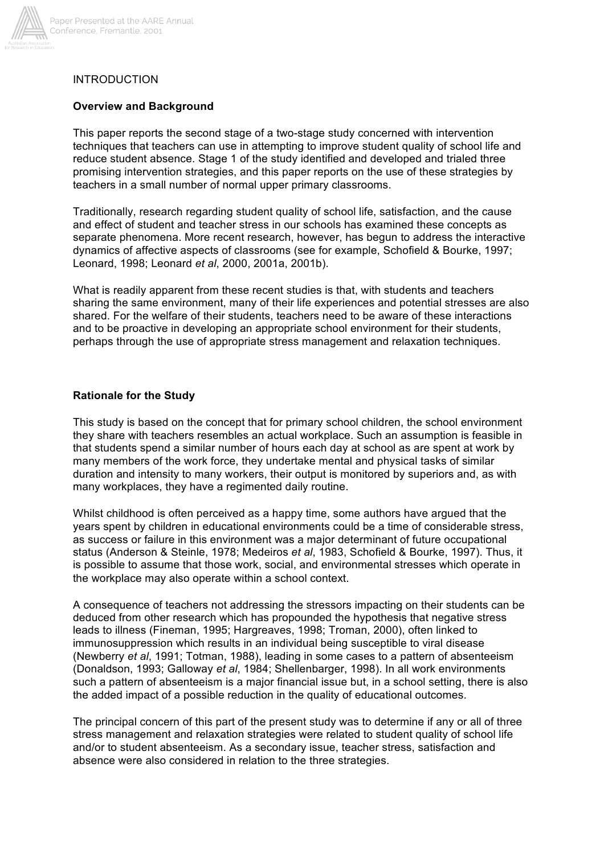

### INTRODUCTION

#### **Overview and Background**

This paper reports the second stage of a two-stage study concerned with intervention techniques that teachers can use in attempting to improve student quality of school life and reduce student absence. Stage 1 of the study identified and developed and trialed three promising intervention strategies, and this paper reports on the use of these strategies by teachers in a small number of normal upper primary classrooms.

Traditionally, research regarding student quality of school life, satisfaction, and the cause and effect of student and teacher stress in our schools has examined these concepts as separate phenomena. More recent research, however, has begun to address the interactive dynamics of affective aspects of classrooms (see for example, Schofield & Bourke, 1997; Leonard, 1998; Leonard *et al*, 2000, 2001a, 2001b).

What is readily apparent from these recent studies is that, with students and teachers sharing the same environment, many of their life experiences and potential stresses are also shared. For the welfare of their students, teachers need to be aware of these interactions and to be proactive in developing an appropriate school environment for their students, perhaps through the use of appropriate stress management and relaxation techniques.

#### **Rationale for the Study**

This study is based on the concept that for primary school children, the school environment they share with teachers resembles an actual workplace. Such an assumption is feasible in that students spend a similar number of hours each day at school as are spent at work by many members of the work force, they undertake mental and physical tasks of similar duration and intensity to many workers, their output is monitored by superiors and, as with many workplaces, they have a regimented daily routine.

Whilst childhood is often perceived as a happy time, some authors have argued that the years spent by children in educational environments could be a time of considerable stress, as success or failure in this environment was a major determinant of future occupational status (Anderson & Steinle, 1978; Medeiros *et al*, 1983, Schofield & Bourke, 1997). Thus, it is possible to assume that those work, social, and environmental stresses which operate in the workplace may also operate within a school context.

A consequence of teachers not addressing the stressors impacting on their students can be deduced from other research which has propounded the hypothesis that negative stress leads to illness (Fineman, 1995; Hargreaves, 1998; Troman, 2000), often linked to immunosuppression which results in an individual being susceptible to viral disease (Newberry *et al*, 1991; Totman, 1988), leading in some cases to a pattern of absenteeism (Donaldson, 1993; Galloway *et al*, 1984; Shellenbarger, 1998). In all work environments such a pattern of absenteeism is a major financial issue but, in a school setting, there is also the added impact of a possible reduction in the quality of educational outcomes.

The principal concern of this part of the present study was to determine if any or all of three stress management and relaxation strategies were related to student quality of school life and/or to student absenteeism. As a secondary issue, teacher stress, satisfaction and absence were also considered in relation to the three strategies.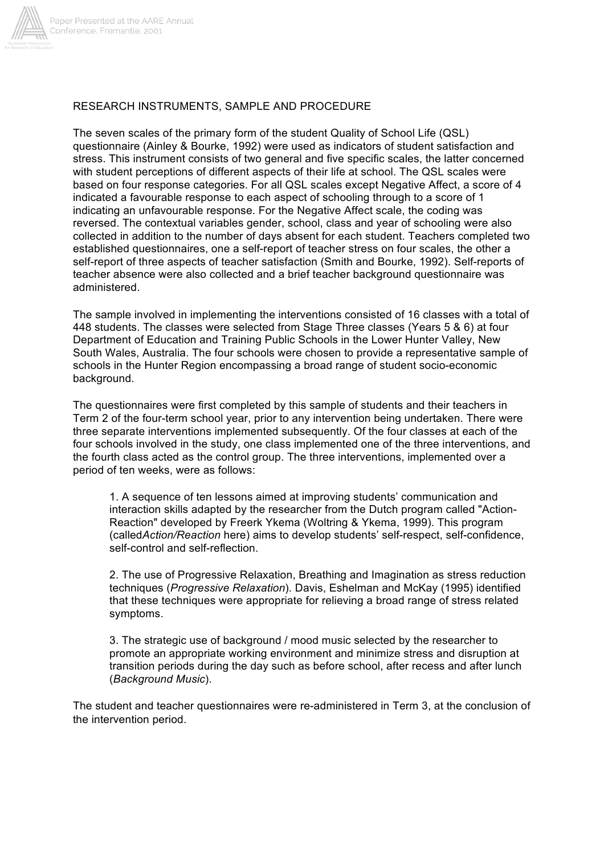

### RESEARCH INSTRUMENTS, SAMPLE AND PROCEDURE

The seven scales of the primary form of the student Quality of School Life (QSL) questionnaire (Ainley & Bourke, 1992) were used as indicators of student satisfaction and stress. This instrument consists of two general and five specific scales, the latter concerned with student perceptions of different aspects of their life at school. The QSL scales were based on four response categories. For all QSL scales except Negative Affect, a score of 4 indicated a favourable response to each aspect of schooling through to a score of 1 indicating an unfavourable response. For the Negative Affect scale, the coding was reversed. The contextual variables gender, school, class and year of schooling were also collected in addition to the number of days absent for each student. Teachers completed two established questionnaires, one a self-report of teacher stress on four scales, the other a self-report of three aspects of teacher satisfaction (Smith and Bourke, 1992). Self-reports of teacher absence were also collected and a brief teacher background questionnaire was administered.

The sample involved in implementing the interventions consisted of 16 classes with a total of 448 students. The classes were selected from Stage Three classes (Years 5 & 6) at four Department of Education and Training Public Schools in the Lower Hunter Valley, New South Wales, Australia. The four schools were chosen to provide a representative sample of schools in the Hunter Region encompassing a broad range of student socio-economic background.

The questionnaires were first completed by this sample of students and their teachers in Term 2 of the four-term school year, prior to any intervention being undertaken. There were three separate interventions implemented subsequently. Of the four classes at each of the four schools involved in the study, one class implemented one of the three interventions, and the fourth class acted as the control group. The three interventions, implemented over a period of ten weeks, were as follows:

1. A sequence of ten lessons aimed at improving students' communication and interaction skills adapted by the researcher from the Dutch program called "Action-Reaction" developed by Freerk Ykema (Woltring & Ykema, 1999). This program (called*Action/Reaction* here) aims to develop students' self-respect, self-confidence, self-control and self-reflection.

2. The use of Progressive Relaxation, Breathing and Imagination as stress reduction techniques (*Progressive Relaxation*). Davis, Eshelman and McKay (1995) identified that these techniques were appropriate for relieving a broad range of stress related symptoms.

3. The strategic use of background / mood music selected by the researcher to promote an appropriate working environment and minimize stress and disruption at transition periods during the day such as before school, after recess and after lunch (*Background Music*).

The student and teacher questionnaires were re-administered in Term 3, at the conclusion of the intervention period.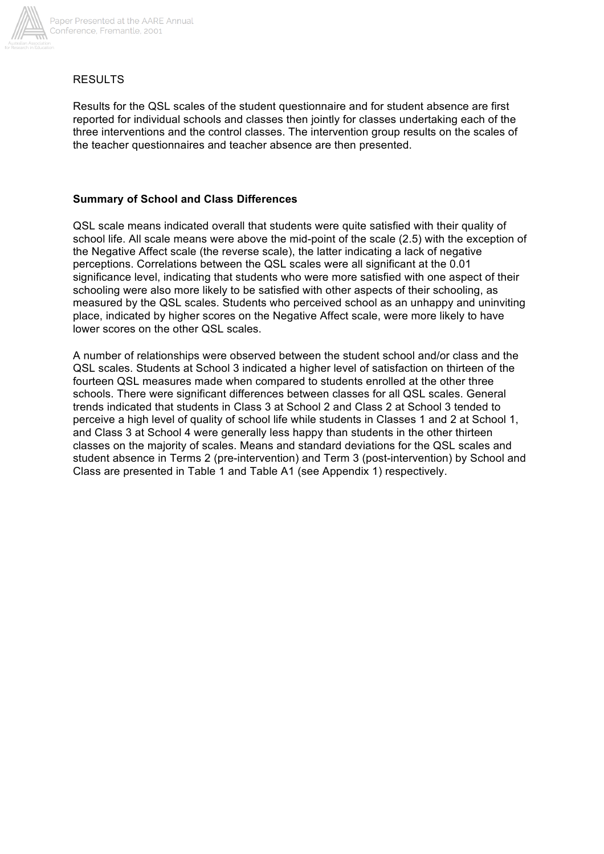

## RESULTS

Results for the QSL scales of the student questionnaire and for student absence are first reported for individual schools and classes then jointly for classes undertaking each of the three interventions and the control classes. The intervention group results on the scales of the teacher questionnaires and teacher absence are then presented.

# **Summary of School and Class Differences**

QSL scale means indicated overall that students were quite satisfied with their quality of school life. All scale means were above the mid-point of the scale (2.5) with the exception of the Negative Affect scale (the reverse scale), the latter indicating a lack of negative perceptions. Correlations between the QSL scales were all significant at the 0.01 significance level, indicating that students who were more satisfied with one aspect of their schooling were also more likely to be satisfied with other aspects of their schooling, as measured by the QSL scales. Students who perceived school as an unhappy and uninviting place, indicated by higher scores on the Negative Affect scale, were more likely to have lower scores on the other QSL scales.

A number of relationships were observed between the student school and/or class and the QSL scales. Students at School 3 indicated a higher level of satisfaction on thirteen of the fourteen QSL measures made when compared to students enrolled at the other three schools. There were significant differences between classes for all QSL scales. General trends indicated that students in Class 3 at School 2 and Class 2 at School 3 tended to perceive a high level of quality of school life while students in Classes 1 and 2 at School 1, and Class 3 at School 4 were generally less happy than students in the other thirteen classes on the majority of scales. Means and standard deviations for the QSL scales and student absence in Terms 2 (pre-intervention) and Term 3 (post-intervention) by School and Class are presented in Table 1 and Table A1 (see Appendix 1) respectively.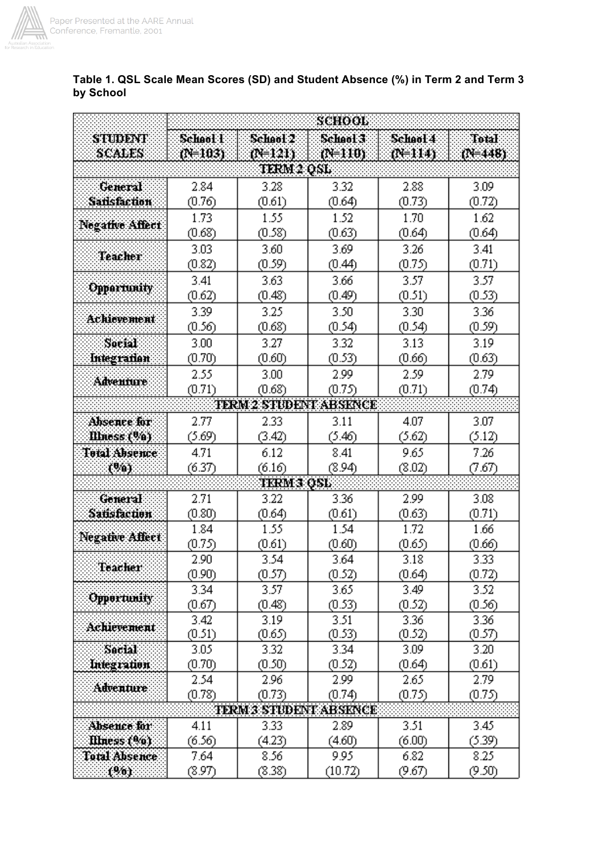

| Table 1. QSL Scale Mean Scores (SD) and Student Absence (%) in Term 2 and Term 3<br>by School |
|-----------------------------------------------------------------------------------------------|
|                                                                                               |

|                                 | SCHOOL         |                   |                               |                |                |  |  |  |  |  |  |  |
|---------------------------------|----------------|-------------------|-------------------------------|----------------|----------------|--|--|--|--|--|--|--|
| STUDENT                         | School l       | School 2          | School 3                      | School 4       | <b>Total</b>   |  |  |  |  |  |  |  |
| SCALES                          | (103)          | 00 121)           | $(0 - 110)$                   | (N=114)        | $(1 + 448)$    |  |  |  |  |  |  |  |
|                                 |                | TERM 2 QSL        |                               |                |                |  |  |  |  |  |  |  |
| General                         | 2.84           | 3.28              | 3.32                          | 2.88           | 3.09           |  |  |  |  |  |  |  |
| Sansfaction                     | (0.76)         | (0.61)            | (0.64)                        | (0.73)         | (0.72)         |  |  |  |  |  |  |  |
|                                 | 1.73           | 1.55              | 1.52                          | 1.70           | 1.62           |  |  |  |  |  |  |  |
| <b>Negative Affect</b>          | (0.68)         | (0.58)            | (0.63)                        | (0.64)         | (0.64)         |  |  |  |  |  |  |  |
|                                 | 3.03           | 3.60              | 3.69                          | 3.26           | 3.41           |  |  |  |  |  |  |  |
| <b>Teacher</b>                  | (0.82)         | (0.59)            | (0.44)                        | (0.75)         | (0.71)         |  |  |  |  |  |  |  |
| <b>Opportunity</b>              | 3.41           | 3.63              | 3.66                          | 3.57           | 3.57           |  |  |  |  |  |  |  |
|                                 | (0.62)         | (0.48)            | (0.49)                        | (0.51)         | (0.53)         |  |  |  |  |  |  |  |
| Achievement<br>Social           | 3.39           | 3.25              | 3.50                          | 3.30           | 3.36           |  |  |  |  |  |  |  |
|                                 | (0.56)         | (0.68)            | (0.54)                        | (0.54)         | (0.59)         |  |  |  |  |  |  |  |
|                                 | 3.00           | 3.27              | 3.32                          | 3.13           | 3.19           |  |  |  |  |  |  |  |
| Integration                     | (0.70)         | (0.60)            | (0.53)                        | (0.66)         | (0.63)         |  |  |  |  |  |  |  |
| Adventure                       | 2.55           | 3.00              | 2.99                          | 2.59           | 2.79           |  |  |  |  |  |  |  |
|                                 | (0.71)         | (0.68)            | (0.75)                        | (0.71)         | (0.74)         |  |  |  |  |  |  |  |
| <b>TERM 2 STUDENT ABSENCE</b>   |                |                   |                               |                |                |  |  |  |  |  |  |  |
| Absence for                     | 2.77           | 2.33              | 3.11                          | 4.07           | 3.07           |  |  |  |  |  |  |  |
| Illness (%)                     | (5.69)         | (3.42)            | (5.46)                        | (5.62)         | (5.12)         |  |  |  |  |  |  |  |
| <b>Total Absence</b>            | 4.71           | 6.12              | 8.41                          | 9.65           | 7.26           |  |  |  |  |  |  |  |
| (%).                            | (6.37)         | (6.16)            | (8.94)                        | (8.02)         | (7.67)         |  |  |  |  |  |  |  |
|                                 |                | <b>TERM 3 OSL</b> |                               |                |                |  |  |  |  |  |  |  |
| Goneral                         | 2.71           | 3.22              | 3.36                          | 2.99           | 3.08           |  |  |  |  |  |  |  |
|                                 | (0.80)         | (0.64)            | (0.61)                        | (0.63)         | (0.71)         |  |  |  |  |  |  |  |
| Satisfaction<br>Negative Affect | 1.84           | 1.55              | 1.54                          | 1.72           | 1.66           |  |  |  |  |  |  |  |
|                                 | (0.75)         | (0.61)            | (0.60)                        | (0.65)         | (0.66)         |  |  |  |  |  |  |  |
| Teacher                         | 2.90           | 3.54              | 3.64                          | 3.18           | 3.33           |  |  |  |  |  |  |  |
|                                 | (0.90)<br>3.34 | (0.57)<br>3.57    | (0.52)<br>3.65                | (0.64)<br>3.49 | (0.72)         |  |  |  |  |  |  |  |
| <b>Opportunity</b>              | (0.67)         | (0.48)            | (0.53)                        | (0.52)         | 3.52<br>(0.56) |  |  |  |  |  |  |  |
|                                 | 3.42           | 3.19              | 3.51                          | 3.36           | 3.36           |  |  |  |  |  |  |  |
| <b>Achievement</b>              | (0.51)         | (0.65)            | (0.53)                        | (0.52)         | (0.57)         |  |  |  |  |  |  |  |
| <b>Sacial</b>                   | 3.05           | 3.32              | 3.34                          | 3.09           | 3.20           |  |  |  |  |  |  |  |
| Integration                     | (0.70)         | (0.50)            | (0.52)                        | (0.64)         | (0.61)         |  |  |  |  |  |  |  |
|                                 | 2.54           | 2.96              | 2.99                          | 2.65           | 2.79           |  |  |  |  |  |  |  |
| <b>Adventure</b>                | (0.78)         | (0.73)            | (0.74)                        | (0.75)         | (0.75)         |  |  |  |  |  |  |  |
|                                 |                |                   | <b>TERM 3 STUDENT ABSENCE</b> |                |                |  |  |  |  |  |  |  |
| Absence for                     | 4.11           | 3.33              | 2.89                          | 3.51           | 3.45           |  |  |  |  |  |  |  |
| Illness (%).                    | (6.56)         | (4.23)            | (4.60)                        | (6.00)         | (5.39)         |  |  |  |  |  |  |  |
| Total Absence                   | 7.64           | 8.56              | 9.95                          | 6.82           | 8.25           |  |  |  |  |  |  |  |
| (%)                             | (8.97)         | (8.38)            | (10.72)                       | (9.67)         | (9.50)         |  |  |  |  |  |  |  |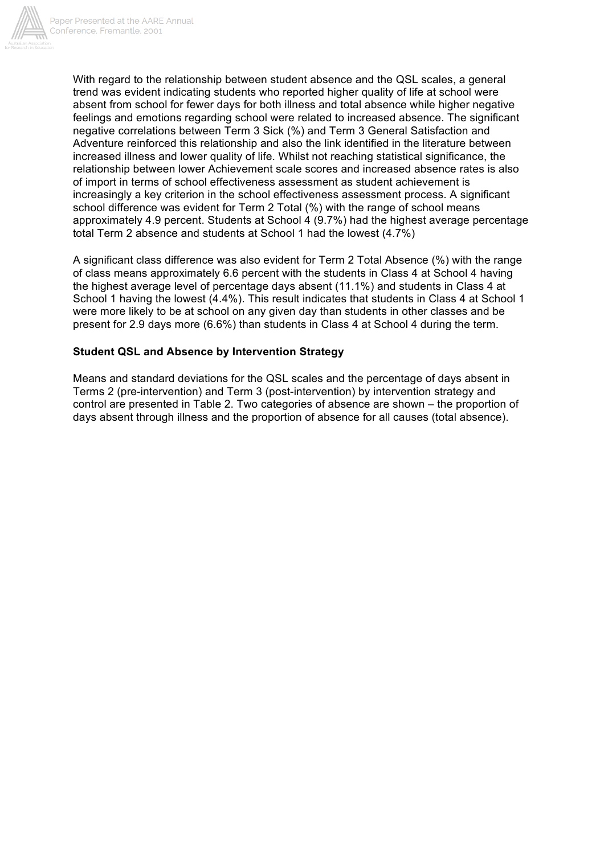

With regard to the relationship between student absence and the QSL scales, a general trend was evident indicating students who reported higher quality of life at school were absent from school for fewer days for both illness and total absence while higher negative feelings and emotions regarding school were related to increased absence. The significant negative correlations between Term 3 Sick (%) and Term 3 General Satisfaction and Adventure reinforced this relationship and also the link identified in the literature between increased illness and lower quality of life. Whilst not reaching statistical significance, the relationship between lower Achievement scale scores and increased absence rates is also of import in terms of school effectiveness assessment as student achievement is increasingly a key criterion in the school effectiveness assessment process. A significant school difference was evident for Term 2 Total (%) with the range of school means approximately 4.9 percent. Students at School 4 (9.7%) had the highest average percentage total Term 2 absence and students at School 1 had the lowest (4.7%)

A significant class difference was also evident for Term 2 Total Absence (%) with the range of class means approximately 6.6 percent with the students in Class 4 at School 4 having the highest average level of percentage days absent (11.1%) and students in Class 4 at School 1 having the lowest (4.4%). This result indicates that students in Class 4 at School 1 were more likely to be at school on any given day than students in other classes and be present for 2.9 days more (6.6%) than students in Class 4 at School 4 during the term.

# **Student QSL and Absence by Intervention Strategy**

Means and standard deviations for the QSL scales and the percentage of days absent in Terms 2 (pre-intervention) and Term 3 (post-intervention) by intervention strategy and control are presented in Table 2. Two categories of absence are shown – the proportion of days absent through illness and the proportion of absence for all causes (total absence).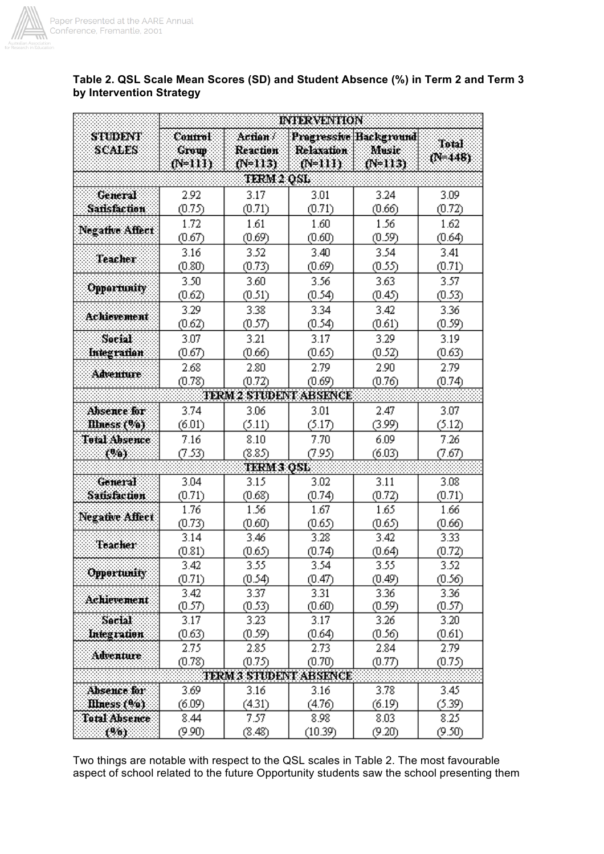

E

|                    | <b>INTERVENTION</b>          |                                     |                               |                                                       |                      |  |  |  |  |  |  |  |
|--------------------|------------------------------|-------------------------------------|-------------------------------|-------------------------------------------------------|----------------------|--|--|--|--|--|--|--|
| STUDENT<br>SCALES  | Control<br>Group<br>$(2+11)$ | Action .<br>Reaction<br>$(F = 113)$ | Relaxation<br>$(8-111)$       | <b>Progressive Background</b><br>Music<br>$(N = 113)$ | Total<br>$(1 + 448)$ |  |  |  |  |  |  |  |
|                    |                              | tern 2 osl                          |                               |                                                       |                      |  |  |  |  |  |  |  |
| General            | 2.92                         | 3.17                                | 3.01                          | 3.24                                                  | 3.09                 |  |  |  |  |  |  |  |
| <b>Sansfaction</b> | (0.75)                       | (0.71)                              | (0.71)                        | (0.66)                                                | (0.72)               |  |  |  |  |  |  |  |
| Negative Affect    | 1.72                         | 1.61                                | 1.60                          | 1.56                                                  | 1.62                 |  |  |  |  |  |  |  |
|                    | (0.67)                       | (0.69)                              | (0.60)                        | (0.59)                                                | (0.64)               |  |  |  |  |  |  |  |
| <b>Teacher</b>     | 3.16                         | 3.52                                | 3.40                          | 3.54                                                  | 3.41                 |  |  |  |  |  |  |  |
|                    | (0.80)                       | (0.73)                              | (0.69)                        | (0.55)                                                | (0.71)               |  |  |  |  |  |  |  |
|                    | 3.50                         | 3.60                                | 3.56                          | 3.63                                                  | 3.57                 |  |  |  |  |  |  |  |
| Opportunity        | (0.62)                       | (0.51)                              | (0.54)                        | (0.45)                                                | (0.53)               |  |  |  |  |  |  |  |
|                    | 3.29                         | 3.38                                | 3.34                          | 3.42                                                  | 3.36                 |  |  |  |  |  |  |  |
| <b>Achievement</b> | (0.62)                       | (0.57)                              | (0.54)                        | (0.61)                                                | (0.59)               |  |  |  |  |  |  |  |
| <b>Social</b>      | 3.07                         | 3.21                                | 3.17                          | 3.29                                                  | 3.19                 |  |  |  |  |  |  |  |
| Integration        | (0.67)                       | (0.66)                              | (0.65)                        | (0.52)                                                | (0.63)               |  |  |  |  |  |  |  |
|                    | 2.68                         | 2.80                                | 2.79                          | 2.90                                                  | 2.79                 |  |  |  |  |  |  |  |
| Adventure          | (0.78)                       | (0.72)                              | (0.69)                        | (0.76)                                                | (0.74)               |  |  |  |  |  |  |  |
|                    |                              |                                     | TERM 2 STEDENT ABSENCE        |                                                       |                      |  |  |  |  |  |  |  |
| Absence for        | 3.74                         | 3.06                                | 3.01                          | 2.47                                                  | 3.07                 |  |  |  |  |  |  |  |
| Illness (%)        | (6.01)                       | (5.11)                              | (5.17)                        | (3.99)                                                | (5.12)               |  |  |  |  |  |  |  |
| Total Absence      | 7.16                         | 8.10                                | 7.70                          | 6.09                                                  | 7.26                 |  |  |  |  |  |  |  |
| (%)                | (7.53)                       | (8.85)                              | (7.95)                        | (6.03)                                                | (7.67)               |  |  |  |  |  |  |  |
|                    |                              | <b>TKRM 3 OSL</b>                   |                               |                                                       |                      |  |  |  |  |  |  |  |
| General            | 3.04                         | 3.15                                | 3.02                          | 3.11                                                  | 3.08                 |  |  |  |  |  |  |  |
| Satisfaction       | (0.71)                       | (0.68)                              | (0.74)                        | (0.72)                                                | (0.71)               |  |  |  |  |  |  |  |
|                    | 1.76                         | 1.56                                | 1.67                          | 1.65                                                  | 1.66                 |  |  |  |  |  |  |  |
| Negative Affect    | (0.73)                       |                                     | (0.60)<br>(0.65)<br>(0.65)    |                                                       |                      |  |  |  |  |  |  |  |
|                    | 3.14                         | 3.46                                | 3.28                          | 3.42                                                  | (0.66)<br>3.33       |  |  |  |  |  |  |  |
| Teacher            | (0.81)                       | (0.65)                              | (0.74)                        | (0.64)                                                | (0.72)               |  |  |  |  |  |  |  |
|                    | 3.42                         | 3.55                                | 3.54                          | 3.55                                                  | 3.52                 |  |  |  |  |  |  |  |
| Opportunity        | (0.71)                       | (0.54)                              | (0.47)                        | (0.49)                                                | (0.56)               |  |  |  |  |  |  |  |
|                    | 3.42                         | 3.37                                | 3.31                          | 3.36                                                  | 3.36                 |  |  |  |  |  |  |  |
| Achievement        | (0.57)                       | (0.53)                              | (0.60)                        | (0.59)                                                | (0.57)               |  |  |  |  |  |  |  |
| Secial             | 3.17                         | 3.23                                | 3.17                          | 3.26                                                  | 3.20                 |  |  |  |  |  |  |  |
| Integration        | (0.63)                       | (0.59)                              | (0.64)                        | (0.56)                                                | (0.61)               |  |  |  |  |  |  |  |
|                    | 2.75                         | 2.85                                | 2.73                          | 2.84                                                  | 2.79                 |  |  |  |  |  |  |  |
| <b>Adventure</b>   | (0.78)                       | (0.75)                              | (0.70)                        | (0.77)                                                | (0.75)               |  |  |  |  |  |  |  |
|                    |                              |                                     | <b>TERM 3 STEDENT ABSENCE</b> |                                                       |                      |  |  |  |  |  |  |  |
| Absence for:       | 3.69                         | 3.16                                | 3.16                          | 3.78                                                  | 3.45                 |  |  |  |  |  |  |  |
| Illness (%)        | (6.09)                       | (4.31)                              | (4.76)                        | (6.19)                                                | (5.39)               |  |  |  |  |  |  |  |
| Total Absence      | 8.44                         | 7.57                                | 8.98                          | 8.03                                                  | 8.25                 |  |  |  |  |  |  |  |
| 1961.              | (9.90)                       | (8.48)                              | (10.39)                       | (9.20)                                                | (9.50)               |  |  |  |  |  |  |  |

# **Table 2. QSL Scale Mean Scores (SD) and Student Absence (%) in Term 2 and Term 3 by Intervention Strategy**

Two things are notable with respect to the QSL scales in Table 2. The most favourable aspect of school related to the future Opportunity students saw the school presenting them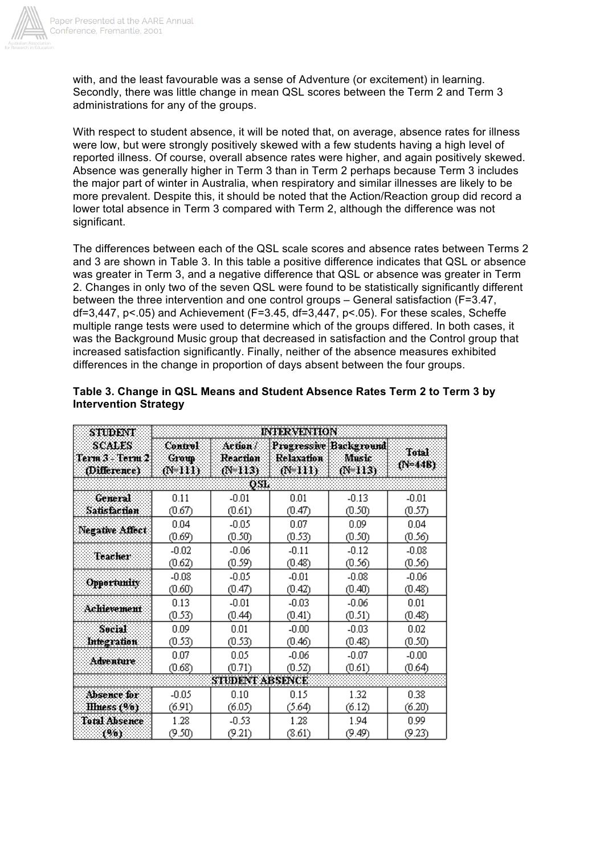

with, and the least favourable was a sense of Adventure (or excitement) in learning. Secondly, there was little change in mean QSL scores between the Term 2 and Term 3 administrations for any of the groups.

With respect to student absence, it will be noted that, on average, absence rates for illness were low, but were strongly positively skewed with a few students having a high level of reported illness. Of course, overall absence rates were higher, and again positively skewed. Absence was generally higher in Term 3 than in Term 2 perhaps because Term 3 includes the major part of winter in Australia, when respiratory and similar illnesses are likely to be more prevalent. Despite this, it should be noted that the Action/Reaction group did record a lower total absence in Term 3 compared with Term 2, although the difference was not significant.

The differences between each of the QSL scale scores and absence rates between Terms 2 and 3 are shown in Table 3. In this table a positive difference indicates that QSL or absence was greater in Term 3, and a negative difference that QSL or absence was greater in Term 2. Changes in only two of the seven QSL were found to be statistically significantly different between the three intervention and one control groups – General satisfaction (F=3.47,  $df=3,447$ ,  $p<05$ ) and Achievement (F=3.45,  $df=3,447$ ,  $p<05$ ). For these scales, Scheffe multiple range tests were used to determine which of the groups differed. In both cases, it was the Background Music group that decreased in satisfaction and the Control group that increased satisfaction significantly. Finally, neither of the absence measures exhibited differences in the change in proportion of days absent between the four groups.

| STUDENT                                   | <b>INTERVENTION</b>               |                                                         |         |                                            |                  |  |  |  |  |  |  |
|-------------------------------------------|-----------------------------------|---------------------------------------------------------|---------|--------------------------------------------|------------------|--|--|--|--|--|--|
| SCALES<br>Term 3 - Torm 2<br>(Difference) | <b>Control</b><br>Group<br>@#111) | Action /<br>Relaxation<br>Reaction<br>00 III)<br>00 U.S |         | Progressive Background<br>Music<br>(NHTIN) | Total<br>(N=44B) |  |  |  |  |  |  |
|                                           |                                   | OSL                                                     |         |                                            |                  |  |  |  |  |  |  |
| General                                   | 0.11                              | $-0.01$                                                 | 0.01    | $-0.13$                                    | $-0.01$          |  |  |  |  |  |  |
| Sausfaction                               | (0.67)                            | (0.61)                                                  | (0.47)  | (0.50)                                     | (0.57)           |  |  |  |  |  |  |
| Negative Affect:                          | 0.04                              | $-0.05$                                                 | 0.07    | 0.09                                       | 0.04             |  |  |  |  |  |  |
|                                           | (0.69)                            | (0.50)                                                  | (0.53)  | (0.50)                                     | (0.56)           |  |  |  |  |  |  |
| Teacher                                   | $-0.02$                           | $-0.06$                                                 | $-0.11$ | $-0.08$                                    |                  |  |  |  |  |  |  |
|                                           | (0.62)                            | (0.59)                                                  | (0.48)  | (0.56)                                     |                  |  |  |  |  |  |  |
| <b>Opportunity</b>                        | $-0.08$                           | $-0.05$                                                 | $-0.01$ | $-0.08$                                    | $-0.06$          |  |  |  |  |  |  |
|                                           | (0.60)                            | (0.47)                                                  | (0.42)  | (0.40)                                     | (0.48)           |  |  |  |  |  |  |
| Achlevement                               | 0.13                              | $-0.01$                                                 | $-0.03$ | $-0.06$                                    | 0.01             |  |  |  |  |  |  |
|                                           | (0.53)                            | (0.44)                                                  | (0.41)  | (0.51)                                     | (0.48)           |  |  |  |  |  |  |
| Social                                    | 0.09                              | 0.01                                                    | $-0.00$ | $-0.03$                                    | 0.02             |  |  |  |  |  |  |
| Integration                               | (0.53)                            | (0.53)                                                  | (0.46)  | (0.48)                                     | (0.50)           |  |  |  |  |  |  |
| Adventure                                 | 0.07                              | 0.05                                                    | $-0.06$ | $-0.07$                                    | $-0.00$          |  |  |  |  |  |  |
|                                           | (0.68)                            | (0.71)                                                  | (0.52)  | (0.61)                                     | (0.64)           |  |  |  |  |  |  |
| <b>STUDENT ABSENCE</b>                    |                                   |                                                         |         |                                            |                  |  |  |  |  |  |  |
| Absence for                               | $-0.05$                           | 0.10                                                    | 0.15    | 1.32                                       | 0.38             |  |  |  |  |  |  |
| Illness (%)                               | (6.91)                            | (6.05)                                                  | (5.64)  | (6.12)                                     | (6.20)           |  |  |  |  |  |  |
| <b>Total Absence</b>                      | 1.28                              | $-0.53$                                                 | 1.28    | 1.94                                       | 0.99             |  |  |  |  |  |  |
| 796).                                     | (9.50)                            | (9.21)                                                  | (8.61)  | (9.49)                                     | (9.23)           |  |  |  |  |  |  |

### **Table 3. Change in QSL Means and Student Absence Rates Term 2 to Term 3 by Intervention Strategy**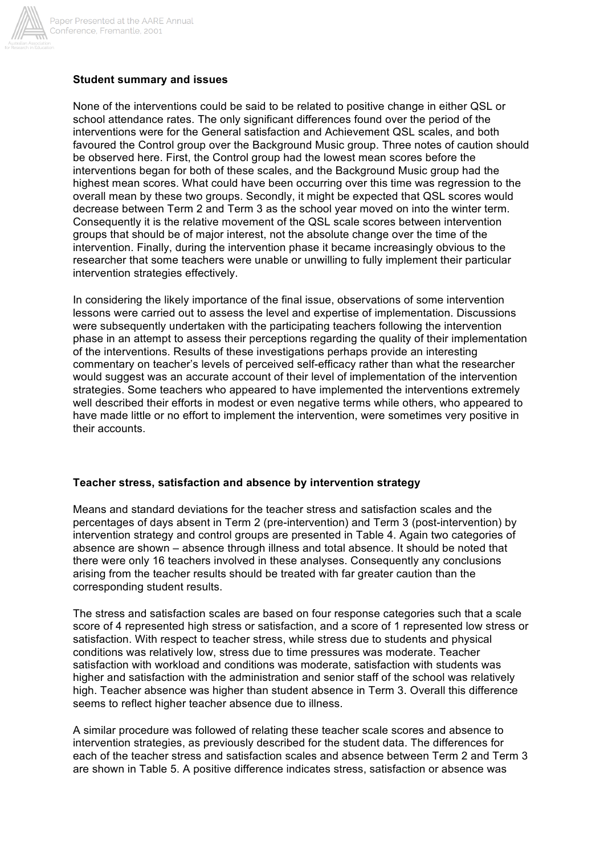

#### **Student summary and issues**

None of the interventions could be said to be related to positive change in either QSL or school attendance rates. The only significant differences found over the period of the interventions were for the General satisfaction and Achievement QSL scales, and both favoured the Control group over the Background Music group. Three notes of caution should be observed here. First, the Control group had the lowest mean scores before the interventions began for both of these scales, and the Background Music group had the highest mean scores. What could have been occurring over this time was regression to the overall mean by these two groups. Secondly, it might be expected that QSL scores would decrease between Term 2 and Term 3 as the school year moved on into the winter term. Consequently it is the relative movement of the QSL scale scores between intervention groups that should be of major interest, not the absolute change over the time of the intervention. Finally, during the intervention phase it became increasingly obvious to the researcher that some teachers were unable or unwilling to fully implement their particular intervention strategies effectively.

In considering the likely importance of the final issue, observations of some intervention lessons were carried out to assess the level and expertise of implementation. Discussions were subsequently undertaken with the participating teachers following the intervention phase in an attempt to assess their perceptions regarding the quality of their implementation of the interventions. Results of these investigations perhaps provide an interesting commentary on teacher's levels of perceived self-efficacy rather than what the researcher would suggest was an accurate account of their level of implementation of the intervention strategies. Some teachers who appeared to have implemented the interventions extremely well described their efforts in modest or even negative terms while others, who appeared to have made little or no effort to implement the intervention, were sometimes very positive in their accounts.

### **Teacher stress, satisfaction and absence by intervention strategy**

Means and standard deviations for the teacher stress and satisfaction scales and the percentages of days absent in Term 2 (pre-intervention) and Term 3 (post-intervention) by intervention strategy and control groups are presented in Table 4. Again two categories of absence are shown – absence through illness and total absence. It should be noted that there were only 16 teachers involved in these analyses. Consequently any conclusions arising from the teacher results should be treated with far greater caution than the corresponding student results.

The stress and satisfaction scales are based on four response categories such that a scale score of 4 represented high stress or satisfaction, and a score of 1 represented low stress or satisfaction. With respect to teacher stress, while stress due to students and physical conditions was relatively low, stress due to time pressures was moderate. Teacher satisfaction with workload and conditions was moderate, satisfaction with students was higher and satisfaction with the administration and senior staff of the school was relatively high. Teacher absence was higher than student absence in Term 3. Overall this difference seems to reflect higher teacher absence due to illness.

A similar procedure was followed of relating these teacher scale scores and absence to intervention strategies, as previously described for the student data. The differences for each of the teacher stress and satisfaction scales and absence between Term 2 and Term 3 are shown in Table 5. A positive difference indicates stress, satisfaction or absence was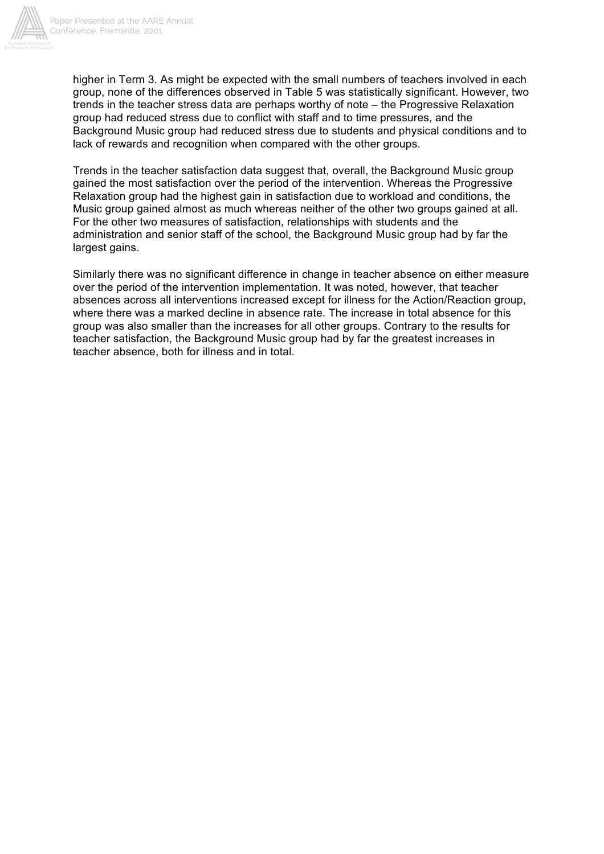

higher in Term 3. As might be expected with the small numbers of teachers involved in each group, none of the differences observed in Table 5 was statistically significant. However, two trends in the teacher stress data are perhaps worthy of note – the Progressive Relaxation group had reduced stress due to conflict with staff and to time pressures, and the Background Music group had reduced stress due to students and physical conditions and to lack of rewards and recognition when compared with the other groups.

Trends in the teacher satisfaction data suggest that, overall, the Background Music group gained the most satisfaction over the period of the intervention. Whereas the Progressive Relaxation group had the highest gain in satisfaction due to workload and conditions, the Music group gained almost as much whereas neither of the other two groups gained at all. For the other two measures of satisfaction, relationships with students and the administration and senior staff of the school, the Background Music group had by far the largest gains.

Similarly there was no significant difference in change in teacher absence on either measure over the period of the intervention implementation. It was noted, however, that teacher absences across all interventions increased except for illness for the Action/Reaction group, where there was a marked decline in absence rate. The increase in total absence for this group was also smaller than the increases for all other groups. Contrary to the results for teacher satisfaction, the Background Music group had by far the greatest increases in teacher absence, both for illness and in total.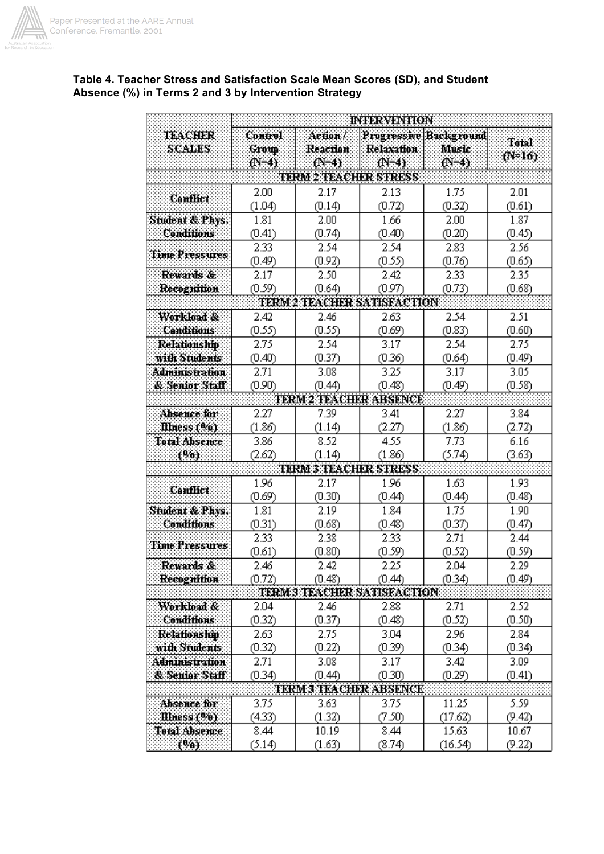

|                          | <b>INTERVENTION</b>      |                      |                               |                                        |                     |  |  |  |  |  |  |
|--------------------------|--------------------------|----------------------|-------------------------------|----------------------------------------|---------------------|--|--|--|--|--|--|
| TEACHER<br><b>SCALES</b> | <b>Control</b><br>Group: | Aetion ?<br>Reaction | Relaxation                    | <b>Progressive Background</b><br>Music | Total<br>$(N = 16)$ |  |  |  |  |  |  |
|                          | $(N=4)$                  | $(N=4)$              | (N=4)                         | M=4)                                   |                     |  |  |  |  |  |  |
|                          |                          |                      | <b>TERM 2 TEACHER STRESS</b>  |                                        |                     |  |  |  |  |  |  |
| <b>Canflict</b>          | 2.00                     | 2.17                 | 2.13                          | 1.75                                   | 2.01                |  |  |  |  |  |  |
|                          | (1.04)                   | (0.14)               | (0.72)                        | (0.32)                                 | (0.61)              |  |  |  |  |  |  |
| Student & Phys.          | 1.81                     | $2.00\,$             | 1.66                          | 2.00                                   | 1.87                |  |  |  |  |  |  |
| Conditions               | (0.41)                   | (0.74)               | (0.40)                        | (0.20)                                 | (0.45)              |  |  |  |  |  |  |
| Time Pressures           | 2.33                     | 2.54                 | 2.54                          | 2.83                                   | 2.56                |  |  |  |  |  |  |
|                          | (0.49)                   | (0.92)               | (0.55)                        | (0.76)                                 | (0.65)              |  |  |  |  |  |  |
| Rewards &                | 2.17                     | 2.50                 | 2.42                          | 2.33                                   | 2.35                |  |  |  |  |  |  |
| Recognition              | (0.59)                   | (0.64)               | (0.97)                        | (0.73)                                 | (0.68)              |  |  |  |  |  |  |
|                          |                          |                      | TERM 2 TEACHER SATISFACTION   |                                        |                     |  |  |  |  |  |  |
| Workload &               | 2.42                     | 2.46                 | 2.63                          | 2.54                                   | 2.51                |  |  |  |  |  |  |
| <b>Canditions</b>        | (0.55)                   | (0.55)               | (0.69)                        | (0.83)                                 | (0.60)              |  |  |  |  |  |  |
| <b>Relationship</b>      | 2.75                     | 2.54                 | 3.17                          | 2.54                                   | 2.75                |  |  |  |  |  |  |
| with Students            | (0.40)                   | (0.37)               | (0.36)                        | (0.64)                                 | (0.49)              |  |  |  |  |  |  |
| <b>Administration</b>    | 2.71                     | 3.08                 | 3.25                          | 3.17                                   | 3.05                |  |  |  |  |  |  |
| & Senior Staff           | (0.90)                   | (0.44)               | (0.48)                        | (0.49)                                 | (0.58)              |  |  |  |  |  |  |
|                          |                          |                      | TERM23TEACHKR ABSENCE         |                                        |                     |  |  |  |  |  |  |
| Absence for              | 2.27                     | 7.39                 | 3.41                          | 2.27                                   | 3.84                |  |  |  |  |  |  |
| Illness (%)              | (1.86)                   | (1.14)               | (2.27)                        | (1.86)                                 | (2.72)              |  |  |  |  |  |  |
| <b>Total Absence</b>     | 3.86                     | 8.52                 | 4.55                          | 7.73                                   | 6.16                |  |  |  |  |  |  |
| 1961                     | (2.62)                   | (1.14)               | (1.86)                        | (5.74)                                 | (3.63)              |  |  |  |  |  |  |
|                          |                          |                      | TERM 3 TEACHER STRESS         |                                        |                     |  |  |  |  |  |  |
| Canflict:                | 1.96                     | 2.17                 | 1.96                          | 1.63                                   | 1.93                |  |  |  |  |  |  |
|                          | (0.69)                   | (0.30)               | (0.44)                        | (0.44)                                 | (0.48)              |  |  |  |  |  |  |
| Student & Phys.          | 1.81                     | 2.19                 | 1.84                          | 1.75                                   | 1.90                |  |  |  |  |  |  |
| <b>Conditions</b>        | (0.31)                   | (0.68)               | (0.48)                        | (0.37)                                 | (0.47)              |  |  |  |  |  |  |
| <b>Time Pressures</b>    | 2.33                     | 2.38                 | 2.33                          | 2.71                                   | 2.44                |  |  |  |  |  |  |
|                          | (0.61)                   | (0.80)               | (0.59)                        | (0.52)                                 | (0.59)              |  |  |  |  |  |  |
| Rewards &                | 2.46                     | 2.42                 | 2.25                          | 2.04                                   | 2.29                |  |  |  |  |  |  |
| Recognition              | (0.72)                   | (0.48)               | (0.44)                        | (0.34)                                 | (0.49)              |  |  |  |  |  |  |
|                          |                          |                      | TERM 3 TEACHER SATISFACTION   |                                        |                     |  |  |  |  |  |  |
| Workload &               | 2.04                     | 2.46                 | 2.88                          | 2.71                                   | 2.52                |  |  |  |  |  |  |
| <b>Conditions</b>        | (0.32)                   | (0.37)               | (0.48)                        | (0.52)                                 | (0.50)              |  |  |  |  |  |  |
| Relationship             | 2.63                     | 2.75                 | 3.04                          | 2.96                                   | 2.84                |  |  |  |  |  |  |
| with Students            | (0.32)                   | (0.22)               | (0.39)                        | (0.34)                                 | (0.34)              |  |  |  |  |  |  |
| Administration           | 2.71                     | 3.08                 | 3.17                          | 3.42                                   | 3.09                |  |  |  |  |  |  |
| & Senior Staff           | (0.34)                   | (0.44)               | (0.30)                        | (0.29)                                 | (0.41)              |  |  |  |  |  |  |
|                          |                          |                      | <b>TKRM 3 TKACHER ABSENCK</b> |                                        |                     |  |  |  |  |  |  |
| Absence for              | 3.75                     | 3.63                 | 3.75                          | 11.25                                  | 5.59                |  |  |  |  |  |  |
| Miness (%)               | (4.33)                   | (1.32)               | (7.50)                        | (17.62)                                | (9.42)              |  |  |  |  |  |  |
| Total Absence:           | 8.44                     | 10.19                | 8.44                          | 15.63                                  | 10.67               |  |  |  |  |  |  |
| (%).                     | (5.14)                   | (1.63)               | (8.74)                        | (16.54)                                | (9.22)              |  |  |  |  |  |  |

## **Table 4. Teacher Stress and Satisfaction Scale Mean Scores (SD), and Student Absence (%) in Terms 2 and 3 by Intervention Strategy**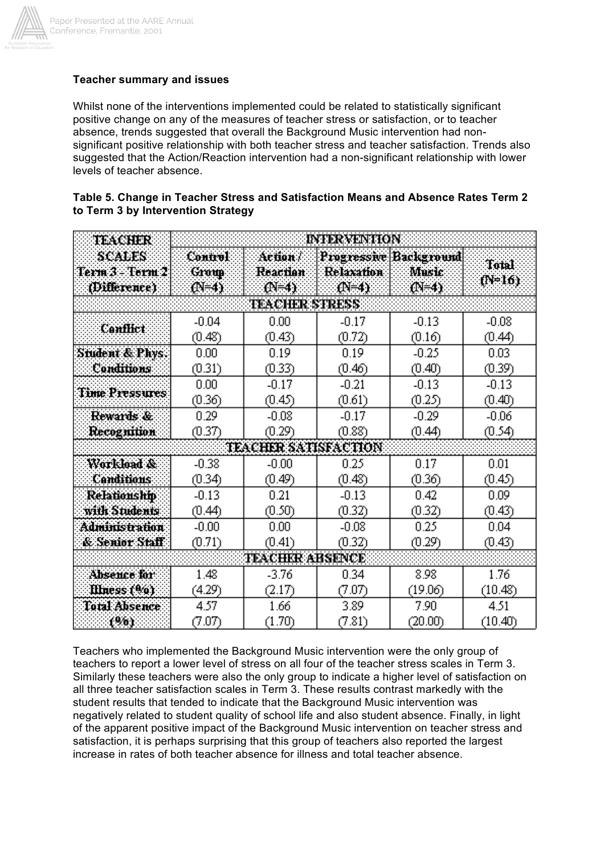

# **Teacher summary and issues**

Whilst none of the interventions implemented could be related to statistically significant positive change on any of the measures of teacher stress or satisfaction, or to teacher absence, trends suggested that overall the Background Music intervention had nonsignificant positive relationship with both teacher stress and teacher satisfaction. Trends also suggested that the Action/Reaction intervention had a non-significant relationship with lower levels of teacher absence.

| Table 5. Change in Teacher Stress and Satisfaction Means and Absence Rates Term 2 |  |  |
|-----------------------------------------------------------------------------------|--|--|
| to Term 3 by Intervention Strategy                                                |  |  |

| TEACHER                                   | <b>INTERVENTION</b>                 |                               |                              |                                            |                 |  |  |  |  |  |  |
|-------------------------------------------|-------------------------------------|-------------------------------|------------------------------|--------------------------------------------|-----------------|--|--|--|--|--|--|
| SCALES<br>Term 3 - Term 2<br>(Difference) | <b>Control</b><br>Group<br>(N=4)    | Action :<br>Reaction<br>OF-4) | <b>Relaxation</b><br>$(N=4)$ | Progressive Background<br>Music<br>$(N=4)$ | Total<br>(N=16) |  |  |  |  |  |  |
|                                           | <b>TEACHER STRESS</b>               |                               |                              |                                            |                 |  |  |  |  |  |  |
| <b>Canflict</b>                           | $-0.04$                             | 0.00                          | $-0.17$                      | $-0.13$                                    | $-0.08$         |  |  |  |  |  |  |
|                                           | (0.48)                              | (0.43)                        | (0.72)                       | (0.16)                                     | (0.44)          |  |  |  |  |  |  |
| Student & Phys.                           | 0.00                                | 0.19                          | 0.19                         | $-0.25$                                    | 0.03            |  |  |  |  |  |  |
| Conditions                                | (0.31)                              | (0.33)                        | (0.46)                       | (0.40)                                     | (0.39)          |  |  |  |  |  |  |
| <b>Time Pressures</b>                     | 0.00                                | $-0.17$                       | $-0.21$                      | $-0.13$                                    | $-0.13$         |  |  |  |  |  |  |
|                                           | (0.36)                              | (0.45)                        | (0.61)                       | (0.25)                                     | (0.40)          |  |  |  |  |  |  |
| Rewards &                                 | 0.29                                | $-0.08$                       | $-0.17$                      | $-0.29$                                    | $-0.06$         |  |  |  |  |  |  |
| Recognition                               | (0.37)                              | (0.29)                        | (0.88)                       | (0.44)                                     | (0.54)          |  |  |  |  |  |  |
|                                           |                                     | TEACHER SATISFACTION          |                              |                                            |                 |  |  |  |  |  |  |
| Workload &                                | $-0.38$                             | $-0.00$                       | 0.25                         | 0.17                                       | 0.01            |  |  |  |  |  |  |
| <b>Canditions</b>                         | (0.34)                              | (0.49)                        | (0.48)                       | (0.36)                                     | (0.45)          |  |  |  |  |  |  |
| <b>Relationship</b><br>with Students      | $-0.13$<br>0.21<br>(0.50)<br>(0.44) |                               | $-0.13$<br>(0.32)            | 0.42<br>(0.32)                             | 0.09<br>(0.43)  |  |  |  |  |  |  |
| Administration                            | $-0.00$                             | 0.00                          | $-0.08$                      | 0.25                                       | 0.04            |  |  |  |  |  |  |
| & Senior Staff                            | (0.71)                              | (0.41)                        | (0.32)                       | (0.29)                                     | (0.43)          |  |  |  |  |  |  |
| <b>TEACHKR ABSENCE</b>                    |                                     |                               |                              |                                            |                 |  |  |  |  |  |  |
| Absence for                               | 1.48                                | -3.76                         | 0.34                         | 8.98                                       | 1.76            |  |  |  |  |  |  |
| Illness (%)                               | (4.29)                              | (2.17)                        | (7.07)                       | (19.06)                                    | (10.48)         |  |  |  |  |  |  |
| Total Absence                             | 4.57                                | 1.66                          | 3.89                         | 7.90                                       | 4.51            |  |  |  |  |  |  |
| 196).                                     | (7.07)                              | (1.70)                        | (7.81)                       | (20.00)                                    | (10.40)         |  |  |  |  |  |  |

Teachers who implemented the Background Music intervention were the only group of teachers to report a lower level of stress on all four of the teacher stress scales in Term 3. Similarly these teachers were also the only group to indicate a higher level of satisfaction on all three teacher satisfaction scales in Term 3. These results contrast markedly with the student results that tended to indicate that the Background Music intervention was negatively related to student quality of school life and also student absence. Finally, in light of the apparent positive impact of the Background Music intervention on teacher stress and satisfaction, it is perhaps surprising that this group of teachers also reported the largest increase in rates of both teacher absence for illness and total teacher absence.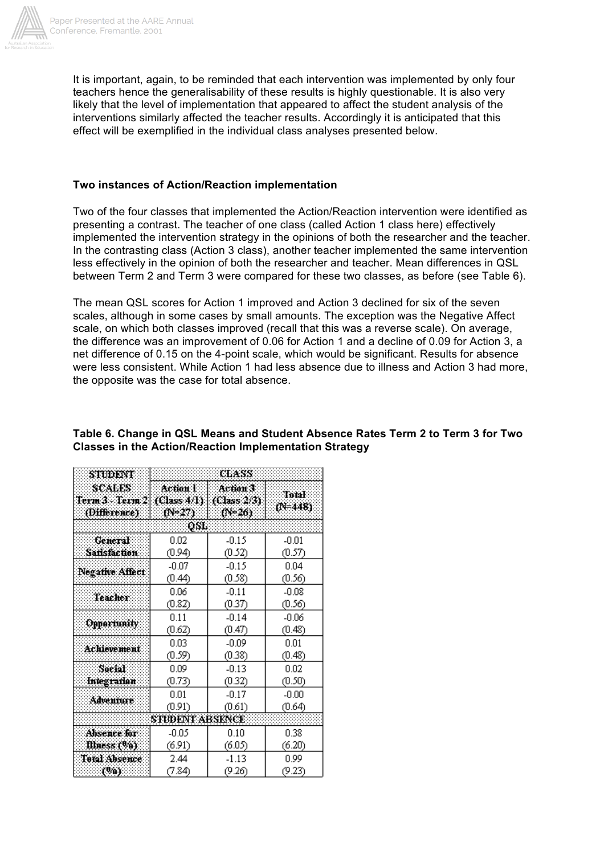

It is important, again, to be reminded that each intervention was implemented by only four teachers hence the generalisability of these results is highly questionable. It is also very likely that the level of implementation that appeared to affect the student analysis of the interventions similarly affected the teacher results. Accordingly it is anticipated that this effect will be exemplified in the individual class analyses presented below.

### **Two instances of Action/Reaction implementation**

Two of the four classes that implemented the Action/Reaction intervention were identified as presenting a contrast. The teacher of one class (called Action 1 class here) effectively implemented the intervention strategy in the opinions of both the researcher and the teacher. In the contrasting class (Action 3 class), another teacher implemented the same intervention less effectively in the opinion of both the researcher and teacher. Mean differences in QSL between Term 2 and Term 3 were compared for these two classes, as before (see Table 6).

The mean QSL scores for Action 1 improved and Action 3 declined for six of the seven scales, although in some cases by small amounts. The exception was the Negative Affect scale, on which both classes improved (recall that this was a reverse scale). On average, the difference was an improvement of 0.06 for Action 1 and a decline of 0.09 for Action 3, a net difference of 0.15 on the 4-point scale, which would be significant. Results for absence were less consistent. While Action 1 had less absence due to illness and Action 3 had more, the opposite was the case for total absence.

| STUDENT                                              | CLASS                              |                                   |                                                          |  |  |  |  |  |  |  |
|------------------------------------------------------|------------------------------------|-----------------------------------|----------------------------------------------------------|--|--|--|--|--|--|--|
| <b>SCALES:</b><br>Term 3 - Term 2   <br>(Difference) | Action I<br>(Class 4/1)<br>(Ne27). | Achon 3<br>(Class 2/3)<br>(PF-26) | Total<br>(NE448)                                         |  |  |  |  |  |  |  |
|                                                      | QSL.                               |                                   |                                                          |  |  |  |  |  |  |  |
| General<br>Sansfaction                               | 0.02<br>(0.94)                     | $-0.15$<br>(0.52)                 | $-0.01$<br>(0.57)                                        |  |  |  |  |  |  |  |
| Negative Affect                                      | $-0.07$<br>(0.44)                  | $-0.15$<br>(0.58)                 | 0.04<br>(0.56)<br>$-0.08$<br>(0.56)<br>$-0.06$<br>(0.48) |  |  |  |  |  |  |  |
| Teacher                                              | 0.06<br>(0.82)                     | $-0.11$<br>(0.37)                 |                                                          |  |  |  |  |  |  |  |
| Opportunity                                          | 0.11<br>(0.62)                     | $-0.14$<br>(0.47)                 |                                                          |  |  |  |  |  |  |  |
| <b>Achievement</b>                                   | 0.03<br>(0.59)                     | $-0.09$<br>(0.38)                 | 0.01<br>(0.48)                                           |  |  |  |  |  |  |  |
| Social<br>Integration                                | 0.09<br>(0.73)                     | $-0.13$<br>(0.32)                 | 0.02<br>(0.50)                                           |  |  |  |  |  |  |  |
| Adventure                                            | 0.01<br>(0.91)                     | $-0.17$<br>(0.61)                 | $-0.00$<br>(0.64)                                        |  |  |  |  |  |  |  |
|                                                      | STUDENT ABSENCE                    |                                   |                                                          |  |  |  |  |  |  |  |
| Absence for<br>Illness (%)                           | -0.05<br>(6.91)                    | 0.10<br>(6.05)                    | 0.38<br>(6.20)                                           |  |  |  |  |  |  |  |
| Total Absence<br>(%)                                 | 2.44<br>(7.84)                     | $-1.13$<br>(9.26)                 | 0.99<br>(9.23)                                           |  |  |  |  |  |  |  |

# **Table 6. Change in QSL Means and Student Absence Rates Term 2 to Term 3 for Two Classes in the Action/Reaction Implementation Strategy**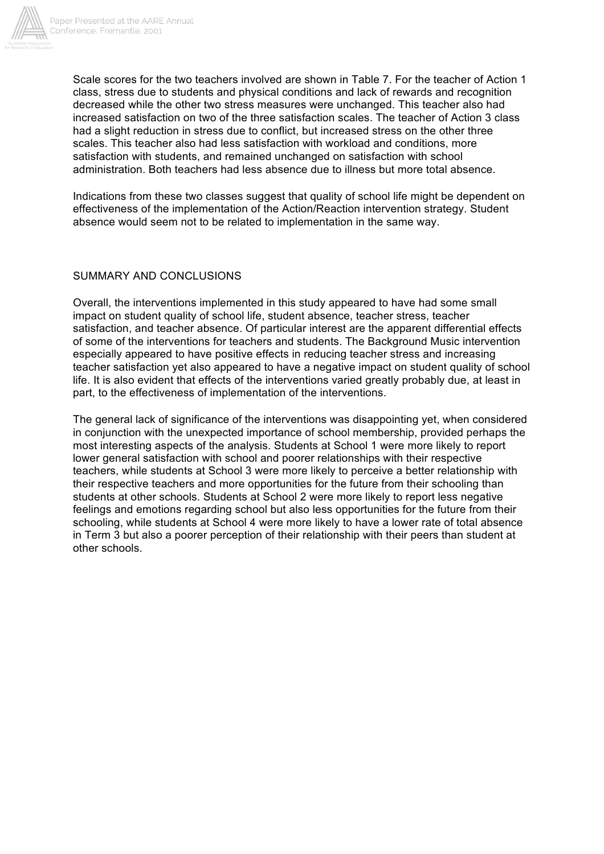

Scale scores for the two teachers involved are shown in Table 7. For the teacher of Action 1 class, stress due to students and physical conditions and lack of rewards and recognition decreased while the other two stress measures were unchanged. This teacher also had increased satisfaction on two of the three satisfaction scales. The teacher of Action 3 class had a slight reduction in stress due to conflict, but increased stress on the other three scales. This teacher also had less satisfaction with workload and conditions, more satisfaction with students, and remained unchanged on satisfaction with school administration. Both teachers had less absence due to illness but more total absence.

Indications from these two classes suggest that quality of school life might be dependent on effectiveness of the implementation of the Action/Reaction intervention strategy. Student absence would seem not to be related to implementation in the same way.

### SUMMARY AND CONCLUSIONS

Overall, the interventions implemented in this study appeared to have had some small impact on student quality of school life, student absence, teacher stress, teacher satisfaction, and teacher absence. Of particular interest are the apparent differential effects of some of the interventions for teachers and students. The Background Music intervention especially appeared to have positive effects in reducing teacher stress and increasing teacher satisfaction yet also appeared to have a negative impact on student quality of school life. It is also evident that effects of the interventions varied greatly probably due, at least in part, to the effectiveness of implementation of the interventions.

The general lack of significance of the interventions was disappointing yet, when considered in conjunction with the unexpected importance of school membership, provided perhaps the most interesting aspects of the analysis. Students at School 1 were more likely to report lower general satisfaction with school and poorer relationships with their respective teachers, while students at School 3 were more likely to perceive a better relationship with their respective teachers and more opportunities for the future from their schooling than students at other schools. Students at School 2 were more likely to report less negative feelings and emotions regarding school but also less opportunities for the future from their schooling, while students at School 4 were more likely to have a lower rate of total absence in Term 3 but also a poorer perception of their relationship with their peers than student at other schools.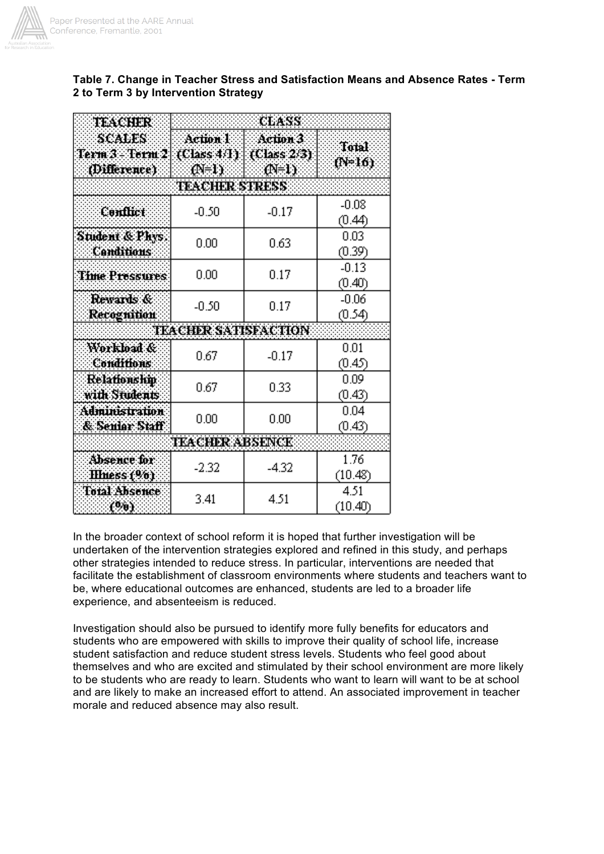

## **Table 7. Change in Teacher Stress and Satisfaction Means and Absence Rates - Term 2 to Term 3 by Intervention Strategy**

| TEACHER                                   | CLASS                          |                 |                   |  |  |  |  |  |  |  |
|-------------------------------------------|--------------------------------|-----------------|-------------------|--|--|--|--|--|--|--|
| scales<br>Term 3 - Term 2<br>(Difference) | Action 1<br>(Class 4/1)<br>ው ሁ | Total<br>(N=16) |                   |  |  |  |  |  |  |  |
|                                           | <b>TEACHER STRESS</b>          |                 |                   |  |  |  |  |  |  |  |
| Conflict                                  | $-0.50$                        | $-0.17$         | $-0.08$<br>(0.44) |  |  |  |  |  |  |  |
| Student & Phys.<br>Conditions             | $_{0.00}$                      | 0.63            | 0.03<br>(0.39)    |  |  |  |  |  |  |  |
| <b>Time Pressures</b>                     | $0.00\,$                       | 0.17            | $-0.13$<br>(0.40) |  |  |  |  |  |  |  |
| Rewards &<br>Recognition                  | $-0.50$                        | 0.17            | $-0.06$<br>(0.54) |  |  |  |  |  |  |  |
|                                           | <b>TEACHER SATISFACTION</b>    |                 |                   |  |  |  |  |  |  |  |
| Workload &<br><b>Conditions</b>           | 0.67                           | $-0.17$         | 0.01<br>(0.45)    |  |  |  |  |  |  |  |
| Relationship<br>with Students             | 0.67                           | 0.33            | 0.09<br>(0.43)    |  |  |  |  |  |  |  |
| Administration<br>& Senier Staff          | $_{0.00}$                      | 0.00            | 0.04<br>(0.43)    |  |  |  |  |  |  |  |
|                                           | <b>TKACHER ABSENCK</b>         |                 |                   |  |  |  |  |  |  |  |
| Absence for<br><b>Illness</b> (%)         | $-2.32$                        | $-4.32$         | 1.76<br>(10.48)   |  |  |  |  |  |  |  |
| <b>Total Absonce</b><br>(%)               | 3.41                           | 4.51            | 4.51<br>(10.40)   |  |  |  |  |  |  |  |

In the broader context of school reform it is hoped that further investigation will be undertaken of the intervention strategies explored and refined in this study, and perhaps other strategies intended to reduce stress. In particular, interventions are needed that facilitate the establishment of classroom environments where students and teachers want to be, where educational outcomes are enhanced, students are led to a broader life experience, and absenteeism is reduced.

Investigation should also be pursued to identify more fully benefits for educators and students who are empowered with skills to improve their quality of school life, increase student satisfaction and reduce student stress levels. Students who feel good about themselves and who are excited and stimulated by their school environment are more likely to be students who are ready to learn. Students who want to learn will want to be at school and are likely to make an increased effort to attend. An associated improvement in teacher morale and reduced absence may also result.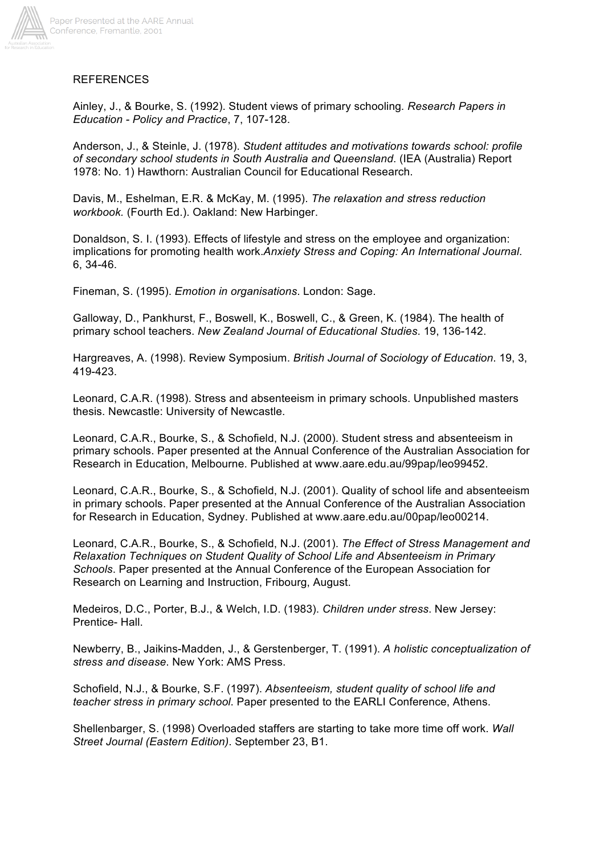

# REFERENCES

Ainley, J., & Bourke, S. (1992). Student views of primary schooling*. Research Papers in Education - Policy and Practice*, 7, 107-128.

Anderson, J., & Steinle, J. (1978). *Student attitudes and motivations towards school: profile of secondary school students in South Australia and Queensland*. (IEA (Australia) Report 1978: No. 1) Hawthorn: Australian Council for Educational Research.

Davis, M., Eshelman, E.R. & McKay, M. (1995). *The relaxation and stress reduction workbook.* (Fourth Ed.). Oakland: New Harbinger.

Donaldson, S. I. (1993). Effects of lifestyle and stress on the employee and organization: implications for promoting health work.*Anxiety Stress and Coping: An International Journal*. 6, 34-46.

Fineman, S. (1995). *Emotion in organisations*. London: Sage.

Galloway, D., Pankhurst, F., Boswell, K., Boswell, C., & Green, K. (1984). The health of primary school teachers. *New Zealand Journal of Educational Studies*. 19, 136-142.

Hargreaves, A. (1998). Review Symposium. *British Journal of Sociology of Education*. 19, 3, 419-423.

Leonard, C.A.R. (1998). Stress and absenteeism in primary schools. Unpublished masters thesis. Newcastle: University of Newcastle.

Leonard, C.A.R., Bourke, S., & Schofield, N.J. (2000). Student stress and absenteeism in primary schools. Paper presented at the Annual Conference of the Australian Association for Research in Education, Melbourne. Published at www.aare.edu.au/99pap/leo99452.

Leonard, C.A.R., Bourke, S., & Schofield, N.J. (2001). Quality of school life and absenteeism in primary schools. Paper presented at the Annual Conference of the Australian Association for Research in Education, Sydney. Published at www.aare.edu.au/00pap/leo00214.

Leonard, C.A.R., Bourke, S., & Schofield, N.J. (2001). *The Effect of Stress Management and Relaxation Techniques on Student Quality of School Life and Absenteeism in Primary Schools*. Paper presented at the Annual Conference of the European Association for Research on Learning and Instruction, Fribourg, August.

Medeiros, D.C., Porter, B.J., & Welch, I.D. (1983). *Children under stress*. New Jersey: Prentice- Hall.

Newberry, B., Jaikins-Madden, J., & Gerstenberger, T. (1991). *A holistic conceptualization of stress and disease*. New York: AMS Press.

Schofield, N.J., & Bourke, S.F. (1997). *Absenteeism, student quality of school life and teacher stress in primary school*. Paper presented to the EARLI Conference, Athens.

Shellenbarger, S. (1998) Overloaded staffers are starting to take more time off work. *Wall Street Journal (Eastern Edition)*. September 23, B1.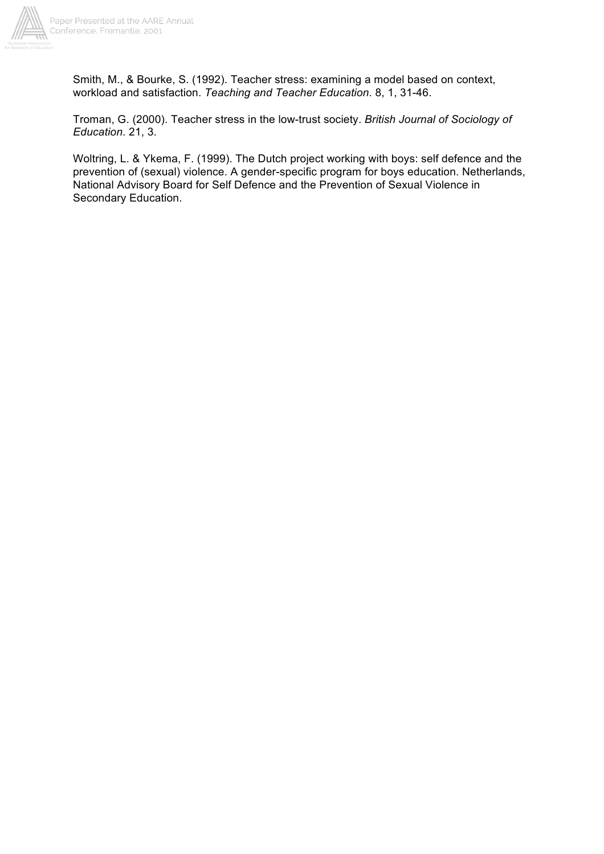

Smith, M., & Bourke, S. (1992). Teacher stress: examining a model based on context, workload and satisfaction. *Teaching and Teacher Education*. 8, 1, 31-46.

Troman, G. (2000). Teacher stress in the low-trust society. *British Journal of Sociology of Education*. 21, 3.

Woltring, L. & Ykema, F. (1999). The Dutch project working with boys: self defence and the prevention of (sexual) violence. A gender-specific program for boys education. Netherlands, National Advisory Board for Self Defence and the Prevention of Sexual Violence in Secondary Education.